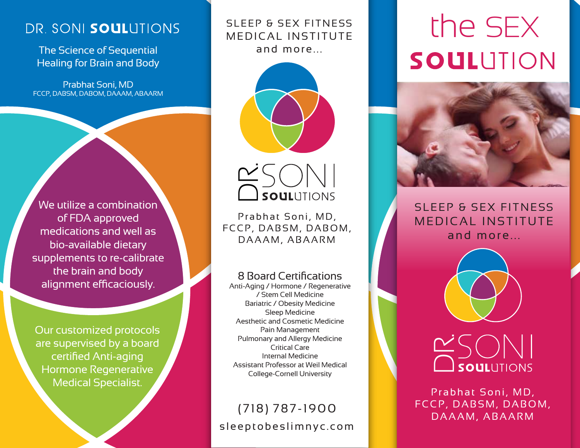# DR. SONI SOULUTIONS

The Science of Sequential Healing for Brain and Body

Prabhat Soni, MD FCCP, DABSM, DABOM, DAAAM, ABAARM

We utilize a combination of FDA approved medications and well as bio-available dietary supplements to re-calibrate the brain and body alignment efficaciously.

Our customized protocols are supervised by a board certified Anti-aging Hormone Regenerative Medical Specialist.

## SLEEP & SEX FITNESS MEDICAL INSTITUTE and more...





Prabhat Soni, MD, FCCP, DABSM, DABOM, **CONCORCITIONS<br>Prabhat Soni, MD,<br>CP, DABSM, DABC<br>DAAAM, ABAARM** 

### 8 Board Certifications

Anti-Aging / Hormone / Regenerative / Stem Cell Medicine Bariatric / Obesity Medicine Sleep Medicine Aesthetic and Cosmetic Medicine Pain Management Pulmonary and Allergy Medicine Critical Care Internal Medicine Assistant Professor at Weil Medical College-Cornell University

# sleeptobeslimnyc.com (718) 787-1900

# the SEX SOULUTION



SLEEP & SEX FITNESS MEDICAL INSTITUTE and more...



# **DAAAM, ABAARM**<br> **D**<br> **D**<br> **SOUL**UTIONS<br>
Prabhat Soni, MD,<br>
CP, DABSM, DABC<br>
DAAAM, ABAARM

Prabhat Soni, MD, FCCP, DABSM, DABOM,